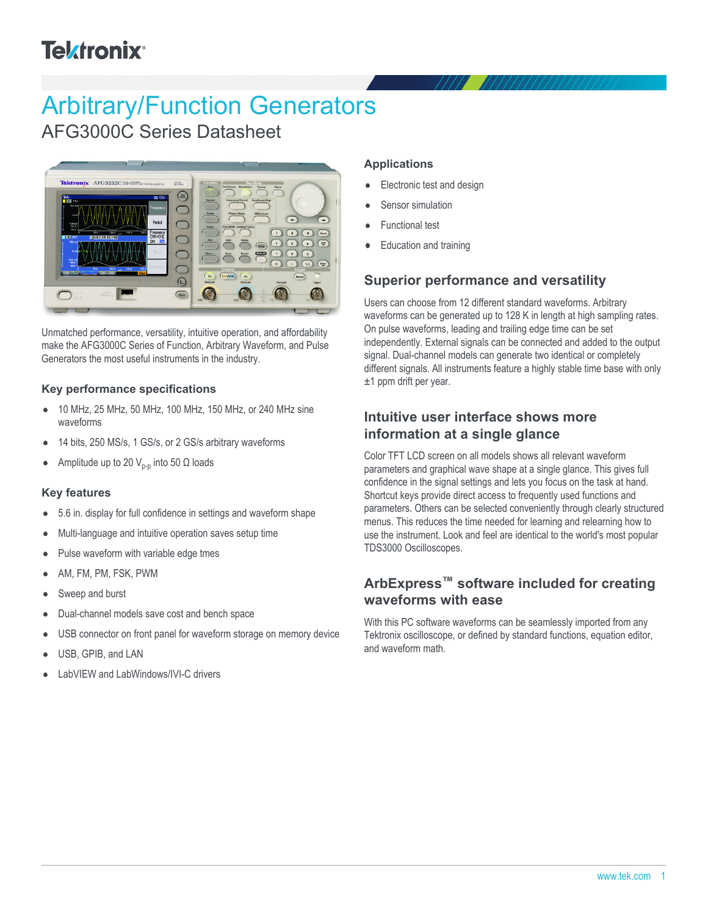# **Telxtronix**<sup>®</sup>

# Arbitrary/Function Generators

AFG3000C Series Datasheet



Unmatched performance, versatility, intuitive operation, and affordability make the AFG3000C Series of Function, Arbitrary Waveform, and Pulse Generators the most useful instruments in the industry.

#### **Key performance specifications**

- 10 MHz, 25 MHz, 50 MHz, 100 MHz, 150 MHz, or 240 MHz sine  $\bullet$ waveforms
- 14 bits, 250 MS/s, 1 GS/s, or 2 GS/s arbitrary waveforms
- Amplitude up to 20  $V_{p-p}$  into 50 Ω loads

#### **Key features**

- 5.6 in. display for full confidence in settings and waveform shape
- Multi-language and intuitive operation saves setup time
- Pulse waveform with variable edge tmes
- AM, FM, PM, FSK, PWM
- Sweep and burst
- Dual-channel models save cost and bench space
- USB connector on front panel for waveform storage on memory device
- USB, GPIB, and LAN
- LabVIEW and LabWindows/IVI-C drivers

#### **Applications**

- Electronic test and design  $\bullet$
- Sensor simulation
- Functional test
- Education and training

## **Superior performance and versatility**

Users can choose from 12 different standard waveforms. Arbitrary waveforms can be generated up to 128 K in length at high sampling rates. On pulse waveforms, leading and trailing edge time can be set independently. External signals can be connected and added to the output signal. Dual-channel models can generate two identical or completely different signals. All instruments feature a highly stable time base with only ±1 ppm drift per year.

## **Intuitive user interface shows more information at a single glance**

Color TFT LCD screen on all models shows all relevant waveform parameters and graphical wave shape at a single glance. This gives full confidence in the signal settings and lets you focus on the task at hand. Shortcut keys provide direct access to frequently used functions and parameters. Others can be selected conveniently through clearly structured menus. This reduces the time needed for learning and relearning how to use the instrument. Look and feel are identical to the world's most popular TDS3000 Oscilloscopes.

## **ArbExpress™ software included for creating waveforms with ease**

With this PC software waveforms can be seamlessly imported from any Tektronix oscilloscope, or defined by standard functions, equation editor, and waveform math.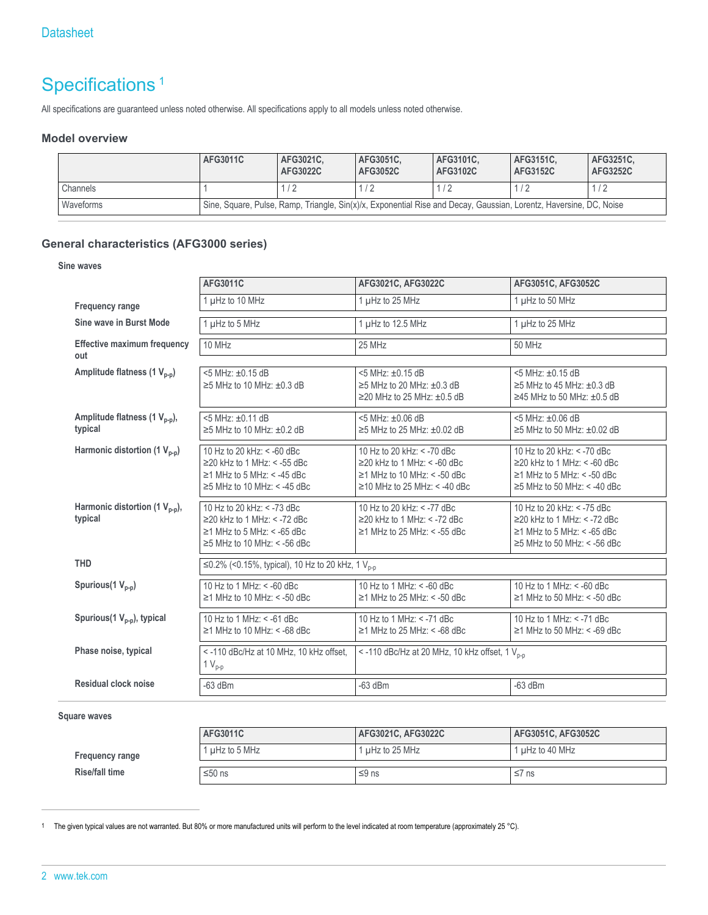## Specifications<sup>1</sup>

All specifications are guaranteed unless noted otherwise. All specifications apply to all models unless noted otherwise.

#### **Model overview**

|           | AFG3011C                                                                                                           | AFG3021C.<br>AFG3022C | AFG3051C.<br>AFG3052C | AFG3101C.<br>AFG3102C | AFG3151C.<br>AFG3152C | AFG3251C.<br>AFG3252C |
|-----------|--------------------------------------------------------------------------------------------------------------------|-----------------------|-----------------------|-----------------------|-----------------------|-----------------------|
| Channels  |                                                                                                                    |                       |                       | $\sqrt{2}$            |                       | 1/2                   |
| Waveforms | Sine, Square, Pulse, Ramp, Triangle, Sin(x)/x, Exponential Rise and Decay, Gaussian, Lorentz, Haversine, DC, Noise |                       |                       |                       |                       |                       |

### **General characteristics (AFG3000 series)**

#### **Sine waves**

|                                                      | AFG3011C                                                                                                                                 | AFG3021C, AFG3022C                                                                                                                        | AFG3051C, AFG3052C                                                                                                                       |
|------------------------------------------------------|------------------------------------------------------------------------------------------------------------------------------------------|-------------------------------------------------------------------------------------------------------------------------------------------|------------------------------------------------------------------------------------------------------------------------------------------|
| <b>Frequency range</b>                               | 1 µHz to 10 MHz                                                                                                                          | 1 µHz to 25 MHz                                                                                                                           | 1 µHz to 50 MHz                                                                                                                          |
| Sine wave in Burst Mode                              | 1 µHz to 5 MHz                                                                                                                           | 1 µHz to 12.5 MHz                                                                                                                         | 1 µHz to 25 MHz                                                                                                                          |
| <b>Effective maximum frequency</b><br>out            | 10 MHz                                                                                                                                   | 25 MHz                                                                                                                                    | <b>50 MHz</b>                                                                                                                            |
| Amplitude flatness (1 V <sub>p-p</sub> )             | <5 MHz: ±0.15 dB<br>$\geq$ 5 MHz to 10 MHz: $\pm$ 0.3 dB                                                                                 | <5 MHz: ±0.15 dB<br>$\geq$ 5 MHz to 20 MHz: $\pm$ 0.3 dB<br>$\geq$ 20 MHz to 25 MHz: $\pm$ 0.5 dB                                         | <5 MHz: ±0.15 dB<br>$\geq$ 5 MHz to 45 MHz: $\pm$ 0.3 dB<br>$\geq$ 45 MHz to 50 MHz: $\pm$ 0.5 dB                                        |
| Amplitude flatness (1 V <sub>p-p</sub> ),<br>typical | <5 MHz: ±0.11 dB<br>$\geq$ 5 MHz to 10 MHz: $\pm$ 0.2 dB                                                                                 | 5 MHz: ±0.06 dB<br>$\geq$ 5 MHz to 25 MHz: $\pm$ 0.02 dB                                                                                  | <5 MHz: ±0.06 dB<br>$\geq$ 5 MHz to 50 MHz: $\pm$ 0.02 dB                                                                                |
| Harmonic distortion (1 $V_{p-p}$ )                   | 10 Hz to 20 kHz: < -60 dBc<br>$\geq$ 20 kHz to 1 MHz: < -55 dBc<br>$\geq$ 1 MHz to 5 MHz: < -45 dBc<br>$\geq$ 5 MHz to 10 MHz: < -45 dBc | 10 Hz to 20 kHz: < -70 dBc<br>$\geq$ 20 kHz to 1 MHz: < -60 dBc<br>$\geq$ 1 MHz to 10 MHz: < -50 dBc<br>$\ge$ 10 MHz to 25 MHz: < -40 dBc | 10 Hz to 20 kHz: < -70 dBc<br>$\geq$ 20 kHz to 1 MHz: < -60 dBc<br>$\geq$ 1 MHz to 5 MHz: < -50 dBc<br>$\geq$ 5 MHz to 50 MHz: < -40 dBc |
| Harmonic distortion (1 $V_{p-p}$ ),<br>typical       | 10 Hz to 20 kHz: < -73 dBc<br>$\geq$ 20 kHz to 1 MHz: < -72 dBc<br>$\geq$ 1 MHz to 5 MHz: < -65 dBc<br>$\geq$ 5 MHz to 10 MHz: < -56 dBc | 10 Hz to 20 kHz: < -77 dBc<br>$\geq$ 20 kHz to 1 MHz: < -72 dBc<br>$\geq$ 1 MHz to 25 MHz: < -55 dBc                                      | 10 Hz to 20 kHz: < -75 dBc<br>$\geq$ 20 kHz to 1 MHz: < -72 dBc<br>$\geq$ 1 MHz to 5 MHz: < -65 dBc<br>$\geq$ 5 MHz to 50 MHz: < -56 dBc |
| <b>THD</b>                                           | ≤0.2% (<0.15%, typical), 10 Hz to 20 kHz, 1 V <sub>n-n</sub>                                                                             |                                                                                                                                           |                                                                                                                                          |
| Spurious(1 $V_{p-p}$ )                               | 10 Hz to 1 MHz: < -60 dBc<br>$\geq$ 1 MHz to 10 MHz: < -50 dBc                                                                           | $10$ Hz to 1 MHz: < -60 dBc<br>$\geq$ 1 MHz to 25 MHz: < -50 dBc                                                                          | 10 Hz to 1 MHz: < -60 dBc<br>$\geq$ 1 MHz to 50 MHz: < -50 dBc                                                                           |
| Spurious(1 $V_{p-p}$ ), typical                      | 10 Hz to 1 MHz: < -61 dBc<br>$\geq$ 1 MHz to 10 MHz: < -68 dBc                                                                           | 10 Hz to 1 MHz: < -71 dBc<br>$\geq$ 1 MHz to 25 MHz: < -68 dBc                                                                            | 10 Hz to 1 MHz: < -71 dBc<br>$\geq$ 1 MHz to 50 MHz: < -69 dBc                                                                           |
| Phase noise, typical                                 | <- 110 dBc/Hz at 10 MHz, 10 kHz offset,<br>$1V_{p-p}$                                                                                    | <-110 dBc/Hz at 20 MHz, 10 kHz offset, 1 V <sub>p-p</sub>                                                                                 |                                                                                                                                          |
| Residual clock noise                                 | $-63$ dBm                                                                                                                                | $-63$ dBm                                                                                                                                 | $-63$ dBm                                                                                                                                |

**Square waves**

|                        | AFG3011C       | AFG3021C, AFG3022C | AFG3051C, AFG3052C |
|------------------------|----------------|--------------------|--------------------|
| <b>Frequency range</b> | 1 uHz to 5 MHz | 1 uHz to 25 MHz    | 1 uHz to 40 MHz    |
| <b>Rise/fall time</b>  | $≤50$ ns       | ≤9 ns              | $≤7$ ns            |

<sup>1</sup> The given typical values are not warranted. But 80% or more manufactured units will perform to the level indicated at room temperature (approximately 25 °C).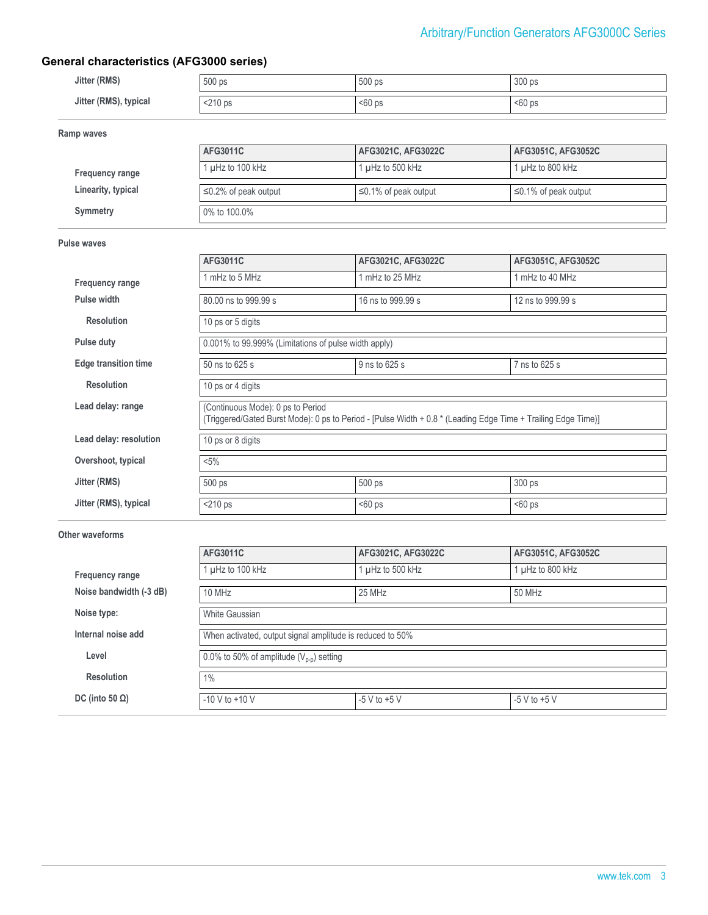## **General characteristics (AFG3000 series)**

| Jitter (RMS)          | 500 ps  | 500 ps   | 300 ps  |
|-----------------------|---------|----------|---------|
| Jitter (RMS), typical | <210 ps | $560$ ps | $60$ ps |

**Ramp waves**

|                        | AFG3011C                   | AFG3021C. AFG3022C         | AFG3051C, AFG3052C         |
|------------------------|----------------------------|----------------------------|----------------------------|
| <b>Frequency range</b> | 1 $\mu$ Hz to 100 kHz      | 1 $\mu$ Hz to 500 kHz      | 1 $\mu$ Hz to 800 kHz      |
| Linearity, typical     | $\leq$ 0.2% of peak output | $\leq$ 0.1% of peak output | $\leq$ 0.1% of peak output |
| Symmetry               | 0% to 100.0%               |                            |                            |

#### **Pulse waves**

|                             | AFG3011C                                                                                                                                           | AFG3021C, AFG3022C | AFG3051C, AFG3052C |  |  |
|-----------------------------|----------------------------------------------------------------------------------------------------------------------------------------------------|--------------------|--------------------|--|--|
| <b>Frequency range</b>      | 1 mHz to 5 MHz                                                                                                                                     | 1 mHz to 25 MHz    | 1 mHz to 40 MHz    |  |  |
| Pulse width                 | 80.00 ns to 999.99 s                                                                                                                               | 16 ns to 999.99 s  | 12 ns to 999.99 s  |  |  |
| <b>Resolution</b>           | 10 ps or 5 digits                                                                                                                                  |                    |                    |  |  |
| Pulse duty                  | 0.001% to 99.999% (Limitations of pulse width apply)                                                                                               |                    |                    |  |  |
| <b>Edge transition time</b> | 50 ns to 625 s                                                                                                                                     | 9 ns to 625 s      | 7 ns to 625 s      |  |  |
| <b>Resolution</b>           | 10 ps or 4 digits                                                                                                                                  |                    |                    |  |  |
| Lead delay: range           | (Continuous Mode): 0 ps to Period<br>(Triggered/Gated Burst Mode): 0 ps to Period - [Pulse Width + 0.8 * (Leading Edge Time + Trailing Edge Time)] |                    |                    |  |  |
| Lead delay: resolution      | 10 ps or 8 digits                                                                                                                                  |                    |                    |  |  |
| Overshoot, typical          | $< 5\%$                                                                                                                                            |                    |                    |  |  |
| Jitter (RMS)                | 500 ps                                                                                                                                             | 500 ps             | 300 ps             |  |  |
| Jitter (RMS), typical       | $<$ 210 ps                                                                                                                                         | $60$ ps            | $50$ ps            |  |  |

#### **Other waveforms**

|                         | AFG3011C                                                  | AFG3021C, AFG3022C | AFG3051C, AFG3052C |  |  |
|-------------------------|-----------------------------------------------------------|--------------------|--------------------|--|--|
| Frequency range         | l µHz to 100 kHz                                          | µHz to 500 kHz     | 1 µHz to 800 kHz   |  |  |
| Noise bandwidth (-3 dB) | 10 MHz                                                    | 25 MHz             | 50 MHz             |  |  |
| Noise type:             | White Gaussian                                            |                    |                    |  |  |
| Internal noise add      | When activated, output signal amplitude is reduced to 50% |                    |                    |  |  |
| Level                   | 0.0% to 50% of amplitude $(V_{p-p})$ setting              |                    |                    |  |  |
| <b>Resolution</b>       | 1%                                                        |                    |                    |  |  |
| DC (into 50 $\Omega$ )  | $-10$ V to $+10$ V                                        | $-5$ V to $+5$ V   | $-5$ V to $+5$ V   |  |  |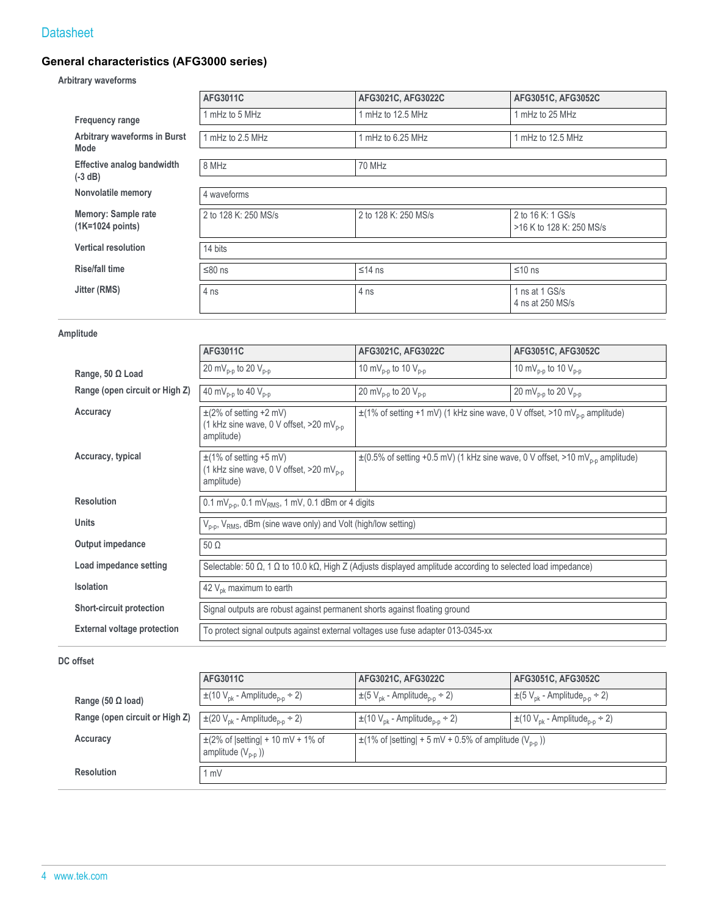## **General characteristics (AFG3000 series)**

#### **Arbitrary waveforms**

|                                           | AFG3011C             | AFG3021C, AFG3022C   | AFG3051C, AFG3052C                            |  |  |
|-------------------------------------------|----------------------|----------------------|-----------------------------------------------|--|--|
| <b>Frequency range</b>                    | mHz to 5 MHz         | mHz to 12.5 MHz      | 1 mHz to 25 MHz                               |  |  |
| Arbitrary waveforms in Burst<br>Mode      | 1 mHz to 2.5 MHz     | mHz to 6.25 MHz      | 1 mHz to 12.5 MHz                             |  |  |
| Effective analog bandwidth<br>$(-3 dB)$   | 8 MHz                | 70 MHz               |                                               |  |  |
| Nonvolatile memory                        | 4 waveforms          |                      |                                               |  |  |
| Memory: Sample rate<br>$(1K=1024$ points) | 2 to 128 K: 250 MS/s | 2 to 128 K: 250 MS/s | 2 to 16 K: 1 GS/s<br>>16 K to 128 K: 250 MS/s |  |  |
| <b>Vertical resolution</b>                | 14 bits              |                      |                                               |  |  |
| <b>Rise/fall time</b>                     | $≤80$ ns             | $≤14$ ns             | $≤10$ ns                                      |  |  |
| Jitter (RMS)                              | 4 ns                 | 4 ns                 | 1 ns at 1 GS/s<br>4 ns at 250 MS/s            |  |  |

#### **Amplitude**

|                                    | AFG3011C                                                                                                                            | AFG3021C, AFG3022C                                                                             | AFG3051C, AFG3052C                          |  |  |
|------------------------------------|-------------------------------------------------------------------------------------------------------------------------------------|------------------------------------------------------------------------------------------------|---------------------------------------------|--|--|
| Range, 50 Ω Load                   | 20 mV <sub>p-p</sub> to 20 V <sub>p-p</sub>                                                                                         | 10 mV <sub>p-p</sub> to 10 $V_{p-p}$                                                           | 10 mV <sub>p-p</sub> to 10 $V_{p-p}$        |  |  |
| Range (open circuit or High Z)     | 40 mV <sub>p-p</sub> to 40 V <sub>p-p</sub>                                                                                         | 20 mV <sub>p-p</sub> to 20 V <sub>p-p</sub>                                                    | 20 mV <sub>p-p</sub> to 20 V <sub>p-p</sub> |  |  |
| Accuracy                           | $\pm$ (2% of setting +2 mV)<br>(1 kHz sine wave, 0 V offset, $>$ 20 mV <sub>n-n</sub><br>amplitude)                                 | $\pm$ (1% of setting +1 mV) (1 kHz sine wave, 0 V offset, >10 mV <sub>p-p</sub> amplitude)     |                                             |  |  |
| Accuracy, typical                  | $\pm$ (1% of setting +5 mV)<br>(1 kHz sine wave, 0 V offset, >20 mV <sub>p-p</sub><br>amplitude)                                    | $\pm$ (0.5% of setting +0.5 mV) (1 kHz sine wave, 0 V offset, >10 mV <sub>p-p</sub> amplitude) |                                             |  |  |
| <b>Resolution</b>                  | 0.1 mV <sub>p-p</sub> , 0.1 mV <sub>RMS</sub> , 1 mV, 0.1 dBm or 4 digits                                                           |                                                                                                |                                             |  |  |
| <b>Units</b>                       | V <sub>p-p</sub> , V <sub>RMS</sub> , dBm (sine wave only) and Volt (high/low setting)                                              |                                                                                                |                                             |  |  |
| Output impedance                   | $50 \Omega$                                                                                                                         |                                                                                                |                                             |  |  |
| Load impedance setting             | Selectable: 50 $\Omega$ , 1 $\Omega$ to 10.0 k $\Omega$ , High Z (Adjusts displayed amplitude according to selected load impedance) |                                                                                                |                                             |  |  |
| <b>Isolation</b>                   | 42 $V_{\text{ok}}$ maximum to earth                                                                                                 |                                                                                                |                                             |  |  |
| Short-circuit protection           | Signal outputs are robust against permanent shorts against floating ground                                                          |                                                                                                |                                             |  |  |
| <b>External voltage protection</b> | To protect signal outputs against external voltages use fuse adapter 013-0345-xx                                                    |                                                                                                |                                             |  |  |

#### **DC offset**

|                                | AFG3011C                                                        | AFG3021C, AFG3022C                                                     | AFG3051C, AFG3052C                                           |
|--------------------------------|-----------------------------------------------------------------|------------------------------------------------------------------------|--------------------------------------------------------------|
| Range (50 $\Omega$ load)       | $\pm$ (10 V <sub>pk</sub> - Amplitude <sub>p-p</sub> ÷ 2)       | $\pm (5 V_{\text{pk}} -$ Amplitude <sub>n-n</sub> ÷ 2)                 | $\pm (5 V_{\text{ok}} -$ Amplitude <sub>p-p</sub> $\div 2$ ) |
| Range (open circuit or High Z) | $\pm$ (20 V <sub>pk</sub> - Amplitude <sub>p-p</sub> ÷ 2)       | $\pm$ (10 V <sub>pk</sub> - Amplitude <sub>p-p</sub> ÷ 2)              | $\pm$ (10 V <sub>pk</sub> - Amplitude <sub>p-p</sub> ÷ 2)    |
| Accuracy                       | $\pm$ (2% of  setting  + 10 mV + 1% of<br>amplitude $(V_{p-p})$ | $\pm$ (1% of  setting  + 5 mV + 0.5% of amplitude (V <sub>p-p</sub> )) |                                                              |
| <b>Resolution</b>              | mV                                                              |                                                                        |                                                              |
|                                |                                                                 |                                                                        |                                                              |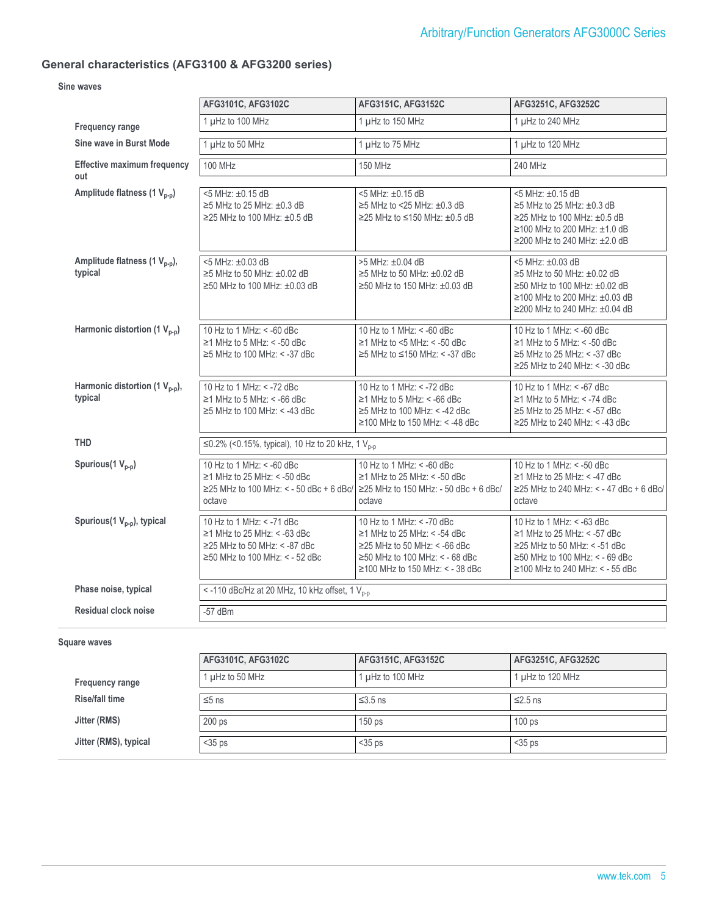### **General characteristics (AFG3100 & AFG3200 series)**

#### **Sine waves**

|                                                      | AFG3101C, AFG3102C                                                                                                                                              | AFG3151C, AFG3152C                                                                                                                                                                | AFG3251C, AFG3252C                                                                                                                                                                       |
|------------------------------------------------------|-----------------------------------------------------------------------------------------------------------------------------------------------------------------|-----------------------------------------------------------------------------------------------------------------------------------------------------------------------------------|------------------------------------------------------------------------------------------------------------------------------------------------------------------------------------------|
| <b>Frequency range</b>                               | 1 µHz to 100 MHz                                                                                                                                                | 1 µHz to 150 MHz                                                                                                                                                                  | 1 µHz to 240 MHz                                                                                                                                                                         |
| Sine wave in Burst Mode                              | 1 µHz to 50 MHz                                                                                                                                                 | 1 µHz to 75 MHz                                                                                                                                                                   | 1 µHz to 120 MHz                                                                                                                                                                         |
| <b>Effective maximum frequency</b><br>out            | <b>100 MHz</b>                                                                                                                                                  | <b>150 MHz</b>                                                                                                                                                                    | 240 MHz                                                                                                                                                                                  |
| Amplitude flatness (1 V <sub>p-p</sub> )             | <5 MHz: ±0.15 dB<br>$\geq$ 5 MHz to 25 MHz: $\pm$ 0.3 dB<br>$\geq$ 25 MHz to 100 MHz: $\pm$ 0.5 dB                                                              | <5 MHz: ±0.15 dB<br>$\geq$ 5 MHz to <25 MHz: $\pm$ 0.3 dB<br>$≥$ 25 MHz to ≤150 MHz: ±0.5 dB                                                                                      | <5 MHz: ±0.15 dB<br>$\geq$ 5 MHz to 25 MHz: $\pm$ 0.3 dB<br>$\geq$ 25 MHz to 100 MHz: $\pm$ 0.5 dB<br>$\geq$ 100 MHz to 200 MHz: $\pm$ 1.0 dB<br>$\geq$ 200 MHz to 240 MHz: $\pm$ 2.0 dB |
| Amplitude flatness (1 V <sub>p-p</sub> ),<br>typical | 5 MHz: ±0.03 dB<br>$\geq$ 5 MHz to 50 MHz: $\pm$ 0.02 dB<br>$\geq$ 50 MHz to 100 MHz: $\pm$ 0.03 dB                                                             | >5 MHz: ±0.04 dB<br>$\geq$ 5 MHz to 50 MHz: $\pm$ 0.02 dB<br>$\geq$ 50 MHz to 150 MHz: $\pm$ 0.03 dB                                                                              | <5 MHz: ±0.03 dB<br>$\geq$ 5 MHz to 50 MHz: $\pm$ 0.02 dB<br>$\geq$ 50 MHz to 100 MHz: $\pm$ 0.02 dB<br>$\geq$ 100 MHz to 200 MHz: $\pm$ 0.03 dB<br>≥200 MHz to 240 MHz: ±0.04 dB        |
| Harmonic distortion (1 $V_{p-p}$ )                   | 10 Hz to 1 MHz: < -60 dBc<br>$\geq$ 1 MHz to 5 MHz: < -50 dBc<br>$\geq$ 5 MHz to 100 MHz: < -37 dBc                                                             | 10 Hz to 1 MHz: < -60 dBc<br>$\geq$ 1 MHz to <5 MHz: < -50 dBc<br>$\geq$ 5 MHz to $\leq$ 150 MHz: < -37 dBc                                                                       | 10 Hz to 1 MHz: < -60 dBc<br>$\geq$ 1 MHz to 5 MHz: < -50 dBc<br>$\geq$ 5 MHz to 25 MHz: < -37 dBc<br>$\geq$ 25 MHz to 240 MHz: < -30 dBc                                                |
| Harmonic distortion (1 $V_{p-p}$ ),<br>typical       | 10 Hz to 1 MHz: < -72 dBc<br>$\geq$ 1 MHz to 5 MHz: < -66 dBc<br>$\geq$ 5 MHz to 100 MHz: < -43 dBc                                                             | 10 Hz to 1 MHz: < -72 dBc<br>$\geq$ 1 MHz to 5 MHz: < -66 dBc<br>$\geq$ 5 MHz to 100 MHz: < -42 dBc<br>$\geq$ 100 MHz to 150 MHz: < -48 dBc                                       | 10 Hz to 1 MHz: < - 67 dBc<br>$\geq$ 1 MHz to 5 MHz: < -74 dBc<br>$\geq$ 5 MHz to 25 MHz: < -57 dBc<br>$\geq$ 25 MHz to 240 MHz: < -43 dBc                                               |
| <b>THD</b>                                           | ≤0.2% (<0.15%, typical), 10 Hz to 20 kHz, 1 V <sub>p-p</sub>                                                                                                    |                                                                                                                                                                                   |                                                                                                                                                                                          |
| Spurious(1 $V_{p-p}$ )                               | 10 Hz to 1 MHz: < - 60 dBc<br>$\geq$ 1 MHz to 25 MHz: < -50 dBc<br>≥25 MHz to 100 MHz: < - 50 dBc + 6 dBc/ $\ge$ 25 MHz to 150 MHz: - 50 dBc + 6 dBc/<br>octave | 10 Hz to 1 MHz: < -60 dBc<br>$\geq$ 1 MHz to 25 MHz: < -50 dBc<br>octave                                                                                                          | 10 Hz to 1 MHz: < -50 dBc<br>$\geq$ 1 MHz to 25 MHz: < -47 dBc<br>≥25 MHz to 240 MHz: < - 47 dBc + 6 dBc/<br>octave                                                                      |
| Spurious(1 V <sub>p-p</sub> ), typical               | 10 Hz to 1 MHz: < -71 dBc<br>$\geq$ 1 MHz to 25 MHz: < -63 dBc<br>$\geq$ 25 MHz to 50 MHz: < -87 dBc<br>$\geq$ 50 MHz to 100 MHz: < - 52 dBc                    | 10 Hz to 1 MHz: < -70 dBc<br>$\geq$ 1 MHz to 25 MHz: < -54 dBc<br>$\geq$ 25 MHz to 50 MHz: < -66 dBc<br>$\geq$ 50 MHz to 100 MHz: < - 68 dBc<br>$≥100$ MHz to 150 MHz: < - 38 dBc | 10 Hz to 1 MHz: < - 63 dBc<br>$\geq$ 1 MHz to 25 MHz: < -57 dBc<br>$\geq$ 25 MHz to 50 MHz: < -51 dBc<br>$\geq$ 50 MHz to 100 MHz: < - 69 dBc<br>≥100 MHz to 240 MHz: < - 55 dBc         |
| Phase noise, typical                                 | <-110 dBc/Hz at 20 MHz, 10 kHz offset, 1 V <sub>p-p</sub>                                                                                                       |                                                                                                                                                                                   |                                                                                                                                                                                          |
| Residual clock noise                                 | $-57$ dBm                                                                                                                                                       |                                                                                                                                                                                   |                                                                                                                                                                                          |

#### **Square waves**

|                        | AFG3101C, AFG3102C | AFG3151C, AFG3152C | AFG3251C, AFG3252C |
|------------------------|--------------------|--------------------|--------------------|
| <b>Frequency range</b> | 1 µHz to 50 MHz    | 1 µHz to 100 MHz   | 1 µHz to 120 MHz   |
| <b>Rise/fall time</b>  | $≤5$ ns            | $\leq$ 3.5 ns      | $≤2.5$ ns          |
| Jitter (RMS)           | 200 <sub>ps</sub>  | 150 <sub>ps</sub>  | 100 <sub>ps</sub>  |
| Jitter (RMS), typical  | $<$ 35 ps          | $<$ 35 ps          | $<$ 35 ps          |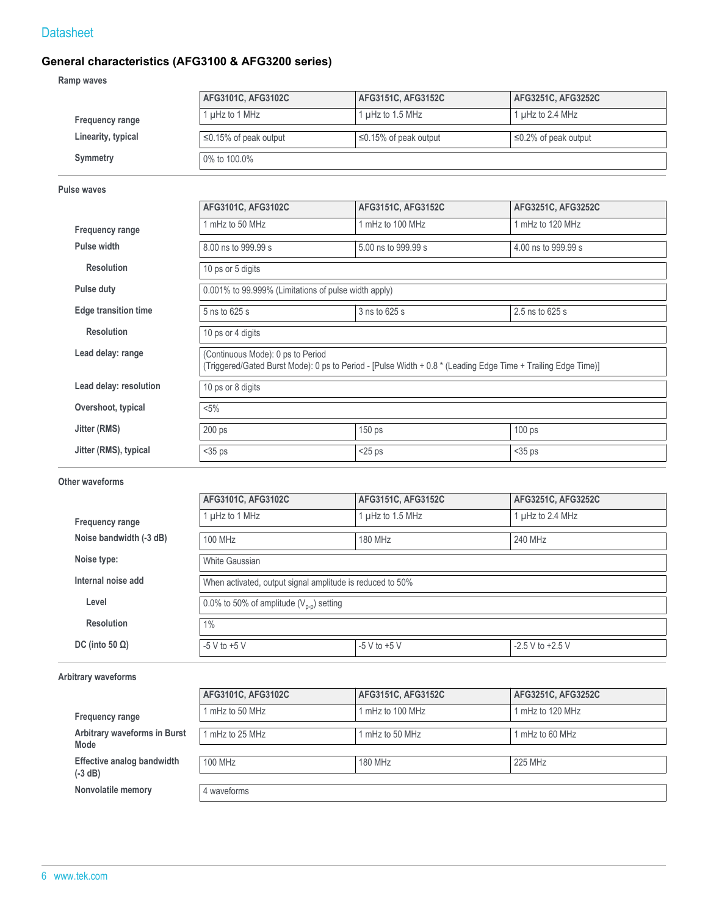## **General characteristics (AFG3100 & AFG3200 series)**

**Ramp waves**

|                    | AFG3101C, AFG3102C          | AFG3151C, AFG3152C          | <b>AFG3251C, AFG3252C</b>  |
|--------------------|-----------------------------|-----------------------------|----------------------------|
| Frequency range    | 1 µHz to 1 MHz              | 1 $\mu$ Hz to 1.5 MHz       | 1 µHz to 2.4 MHz           |
| Linearity, typical | $\leq$ 0.15% of peak output | $\leq$ 0.15% of peak output | $\leq$ 0.2% of peak output |
| Symmetry           | 0% to 100.0%                |                             |                            |

#### **Pulse waves**

|                             | AFG3101C, AFG3102C                                                                                                                                 | AFG3151C, AFG3152C  | AFG3251C, AFG3252C  |  |  |  |
|-----------------------------|----------------------------------------------------------------------------------------------------------------------------------------------------|---------------------|---------------------|--|--|--|
| Frequency range             | mHz to 50 MHz                                                                                                                                      | 1 mHz to 100 MHz    | 1 mHz to 120 MHz    |  |  |  |
| Pulse width                 | 8.00 ns to 999.99 s                                                                                                                                | 5.00 ns to 999.99 s | 4.00 ns to 999.99 s |  |  |  |
| <b>Resolution</b>           | 10 ps or 5 digits                                                                                                                                  |                     |                     |  |  |  |
| Pulse duty                  | 0.001% to 99.999% (Limitations of pulse width apply)                                                                                               |                     |                     |  |  |  |
| <b>Edge transition time</b> | 2.5 ns to 625 s<br>3 ns to 625 s<br>5 ns to 625 s                                                                                                  |                     |                     |  |  |  |
| <b>Resolution</b>           | 10 ps or 4 digits                                                                                                                                  |                     |                     |  |  |  |
| Lead delay: range           | (Continuous Mode): 0 ps to Period<br>(Triggered/Gated Burst Mode): 0 ps to Period - [Pulse Width + 0.8 * (Leading Edge Time + Trailing Edge Time)] |                     |                     |  |  |  |
| Lead delay: resolution      | 10 ps or 8 digits                                                                                                                                  |                     |                     |  |  |  |
| Overshoot, typical          | $< 5\%$                                                                                                                                            |                     |                     |  |  |  |
| Jitter (RMS)                | 200 ps                                                                                                                                             | 150 ps              | 100 ps              |  |  |  |
| Jitter (RMS), typical       | $35 ps$                                                                                                                                            | $<$ 25 ps           | $<$ 35 ps           |  |  |  |

#### **Other waveforms**

|                         | AFG3101C, AFG3102C                                        | AFG3151C, AFG3152C | AFG3251C, AFG3252C   |  |  |  |
|-------------------------|-----------------------------------------------------------|--------------------|----------------------|--|--|--|
| Frequency range         | $\mu$ Hz to 1 MHz                                         | 1 µHz to 1.5 MHz   | $\mu$ Hz to 2.4 MHz  |  |  |  |
| Noise bandwidth (-3 dB) | 100 MHz                                                   | 180 MHz            | 240 MHz              |  |  |  |
| Noise type:             | White Gaussian                                            |                    |                      |  |  |  |
| Internal noise add      | When activated, output signal amplitude is reduced to 50% |                    |                      |  |  |  |
| Level                   | 0.0% to 50% of amplitude $(V_{n-n})$ setting              |                    |                      |  |  |  |
| <b>Resolution</b>       | 1%                                                        |                    |                      |  |  |  |
| DC (into 50 $\Omega$ )  | $-5$ V to $+5$ V                                          | $-5$ V to $+5$ V   | $-2.5$ V to $+2.5$ V |  |  |  |

#### **Arbitrary waveforms**

|                                         | AFG3101C, AFG3102C | AFG3151C, AFG3152C | AFG3251C, AFG3252C |
|-----------------------------------------|--------------------|--------------------|--------------------|
| Frequency range                         | mHz to 50 MHz      | mHz to 100 MHz     | 1 mHz to 120 MHz   |
| Arbitrary waveforms in Burst<br>Mode    | mHz to 25 MHz      | mHz to 50 MHz      | 1 mHz to 60 MHz    |
| Effective analog bandwidth<br>$(-3 dB)$ | 100 MHz            | 180 MHz            | 225 MHz            |
| Nonvolatile memory                      | 4 waveforms        |                    |                    |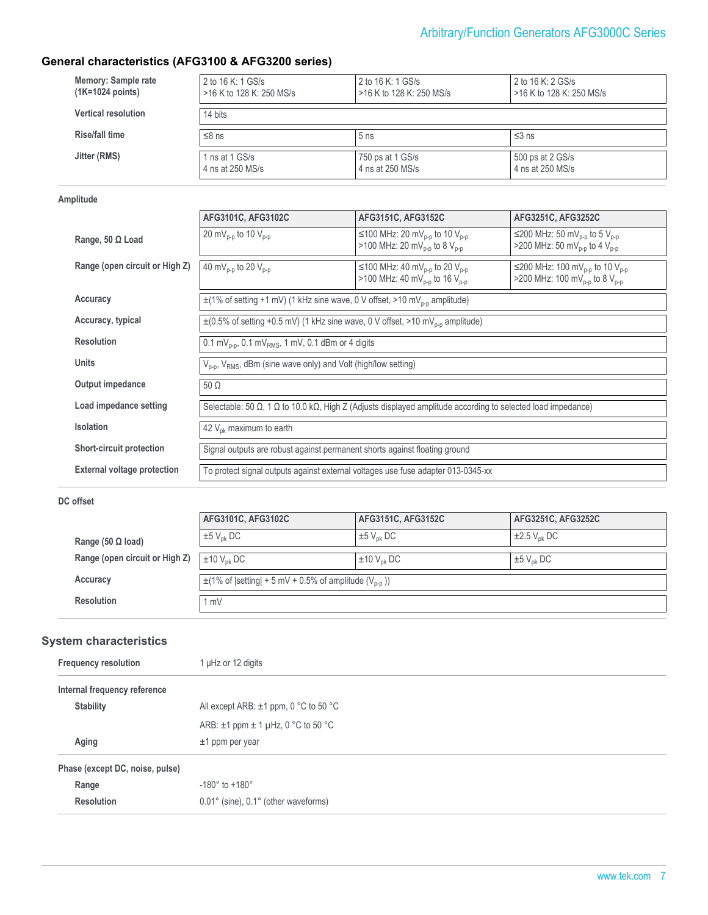## **General characteristics (AFG3100 & AFG3200 series)**

| Memory: Sample rate        | 2 to 16 K: 1 GS/s        | 2 to 16 K: 1 GS/s        | 2 to 16 K: 2 GS/s        |
|----------------------------|--------------------------|--------------------------|--------------------------|
| $(1K=1024 \text{ points})$ | >16 K to 128 K: 250 MS/s | >16 K to 128 K: 250 MS/s | >16 K to 128 K: 250 MS/s |
| <b>Vertical resolution</b> | 14 bits                  |                          |                          |
| Rise/fall time             | $≤8$ ns                  | 5 <sub>ns</sub>          | $≤3$ ns                  |
| Jitter (RMS)               | 1 ns at 1 GS/s           | 750 ps at 1 GS/s         | 500 ps at 2 GS/s         |
|                            | 4 ns at 250 MS/s         | 4 ns at 250 MS/s         | 4 ns at 250 MS/s         |

#### **Amplitude**

|                                    | AFG3101C, AFG3102C                                                                                                                  | AFG3151C, AFG3152C                                                                                             | AFG3251C, AFG3252C                                                                                              |  |  |
|------------------------------------|-------------------------------------------------------------------------------------------------------------------------------------|----------------------------------------------------------------------------------------------------------------|-----------------------------------------------------------------------------------------------------------------|--|--|
| Range, 50 $\Omega$ Load            | 20 mV <sub>p-p</sub> to 10 V <sub>p-p</sub>                                                                                         | ≤100 MHz: 20 mV <sub>p-p</sub> to 10 V <sub>p-p</sub><br>>100 MHz: 20 mV <sub>p-p</sub> to 8 V <sub>p-p</sub>  | ≤200 MHz: 50 mV <sub>p-p</sub> to 5 V <sub>p-p</sub><br>>200 MHz: 50 mV <sub>p-p</sub> to 4 V <sub>p-p</sub>    |  |  |
| Range (open circuit or High Z)     | 40 mV <sub>p-p</sub> to 20 $V_{p-p}$                                                                                                | ≤100 MHz: 40 mV <sub>p-p</sub> to 20 V <sub>p-p</sub><br>>100 MHz: 40 mV <sub>p-p</sub> to 16 V <sub>p-p</sub> | ≤200 MHz: 100 mV <sub>p-p</sub> to 10 V <sub>p-p</sub><br>>200 MHz: 100 mV <sub>p-p</sub> to 8 V <sub>p-p</sub> |  |  |
| Accuracy                           | $\pm$ (1% of setting +1 mV) (1 kHz sine wave, 0 V offset, >10 mV <sub>p-p</sub> amplitude)                                          |                                                                                                                |                                                                                                                 |  |  |
| Accuracy, typical                  | $\pm$ (0.5% of setting +0.5 mV) (1 kHz sine wave, 0 V offset, >10 mV <sub>p-p</sub> amplitude)                                      |                                                                                                                |                                                                                                                 |  |  |
| <b>Resolution</b>                  | 0.1 mV <sub>p-p</sub> , 0.1 mV <sub>RMS</sub> , 1 mV, 0.1 dBm or 4 digits                                                           |                                                                                                                |                                                                                                                 |  |  |
| <b>Units</b>                       | $V_{p-p}$ , $V_{RMS}$ , dBm (sine wave only) and Volt (high/low setting)                                                            |                                                                                                                |                                                                                                                 |  |  |
| Output impedance                   | $50 \Omega$                                                                                                                         |                                                                                                                |                                                                                                                 |  |  |
| Load impedance setting             | Selectable: 50 $\Omega$ , 1 $\Omega$ to 10.0 k $\Omega$ , High Z (Adjusts displayed amplitude according to selected load impedance) |                                                                                                                |                                                                                                                 |  |  |
| <b>Isolation</b>                   | 42 $V_{\text{ok}}$ maximum to earth                                                                                                 |                                                                                                                |                                                                                                                 |  |  |
| <b>Short-circuit protection</b>    | Signal outputs are robust against permanent shorts against floating ground                                                          |                                                                                                                |                                                                                                                 |  |  |
| <b>External voltage protection</b> | To protect signal outputs against external voltages use fuse adapter 013-0345-xx                                                    |                                                                                                                |                                                                                                                 |  |  |

#### **DC offset**

|                                | AFG3101C, AFG3102C                                                     | AFG3151C, AFG3152C          | AFG3251C, AFG3252C           |
|--------------------------------|------------------------------------------------------------------------|-----------------------------|------------------------------|
| Range (50 $\Omega$ load)       | $\pm 5$ V <sub>pk</sub> DC                                             | $\pm 5$ V <sub>nk</sub> DC  | $\pm 2.5$ V <sub>nk</sub> DC |
| Range (open circuit or High Z) | $\pm 10$ V <sub>pk</sub> DC                                            | $\pm 10$ V <sub>nk</sub> DC | $\pm 5$ V <sub>nk</sub> DC   |
| Accuracy                       | $\pm$ (1% of  setting  + 5 mV + 0.5% of amplitude (V <sub>p-p</sub> )) |                             |                              |
| <b>Resolution</b>              | 1 mV                                                                   |                             |                              |

## **System characteristics**

| <b>Frequency resolution</b>     | 1 µHz or 12 digits                                     |  |
|---------------------------------|--------------------------------------------------------|--|
| Internal frequency reference    |                                                        |  |
| <b>Stability</b>                | All except ARB: $\pm$ 1 ppm, 0 °C to 50 °C             |  |
|                                 | ARB: $\pm$ 1 ppm $\pm$ 1 µHz, 0 °C to 50 °C            |  |
| Aging                           | $±1$ ppm per year                                      |  |
| Phase (except DC, noise, pulse) |                                                        |  |
| Range                           | $-180^\circ$ to $+180^\circ$                           |  |
| <b>Resolution</b>               | $0.01^{\circ}$ (sine), $0.1^{\circ}$ (other waveforms) |  |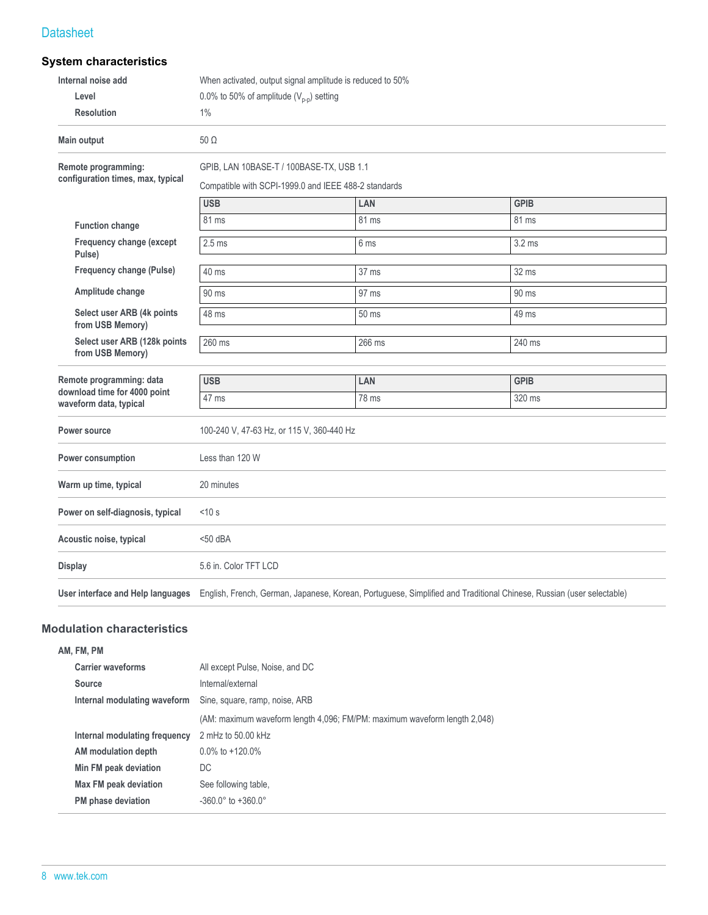## **System characteristics**

| Internal noise add                                     |                                              |                                                      | When activated, output signal amplitude is reduced to 50%                                                            |  |  |  |
|--------------------------------------------------------|----------------------------------------------|------------------------------------------------------|----------------------------------------------------------------------------------------------------------------------|--|--|--|
| Level                                                  | 0.0% to 50% of amplitude $(V_{p-p})$ setting |                                                      |                                                                                                                      |  |  |  |
| <b>Resolution</b>                                      | 1%                                           |                                                      |                                                                                                                      |  |  |  |
| <b>Main output</b>                                     | $50\Omega$                                   |                                                      |                                                                                                                      |  |  |  |
| Remote programming:                                    | GPIB, LAN 10BASE-T / 100BASE-TX, USB 1.1     |                                                      |                                                                                                                      |  |  |  |
| configuration times, max, typical                      |                                              | Compatible with SCPI-1999.0 and IEEE 488-2 standards |                                                                                                                      |  |  |  |
|                                                        | <b>USB</b>                                   | LAN                                                  | <b>GPIB</b>                                                                                                          |  |  |  |
| <b>Function change</b>                                 | 81 ms                                        | 81 ms                                                | 81 ms                                                                                                                |  |  |  |
| Frequency change (except<br>Pulse)                     | 2.5 <sub>ms</sub>                            | 6 ms                                                 | 3.2 <sub>ms</sub>                                                                                                    |  |  |  |
| Frequency change (Pulse)                               | $40$ ms                                      | 37 ms                                                | 32 ms                                                                                                                |  |  |  |
| Amplitude change                                       | 90 ms                                        | 97 ms                                                | 90 ms                                                                                                                |  |  |  |
| Select user ARB (4k points<br>from USB Memory)         | 48 ms                                        | 50 ms<br>49 ms                                       |                                                                                                                      |  |  |  |
| Select user ARB (128k points<br>from USB Memory)       | 260 ms                                       | 266 ms                                               | 240 ms                                                                                                               |  |  |  |
| Remote programming: data                               | <b>USB</b>                                   | LAN                                                  | <b>GPIB</b>                                                                                                          |  |  |  |
| download time for 4000 point<br>waveform data, typical | 47 ms                                        | 78 ms                                                | 320 ms                                                                                                               |  |  |  |
| <b>Power source</b>                                    |                                              | 100-240 V, 47-63 Hz, or 115 V, 360-440 Hz            |                                                                                                                      |  |  |  |
| Power consumption                                      | Less than 120 W                              |                                                      |                                                                                                                      |  |  |  |
| Warm up time, typical                                  | 20 minutes                                   |                                                      |                                                                                                                      |  |  |  |
| Power on self-diagnosis, typical                       | < 10 s                                       |                                                      |                                                                                                                      |  |  |  |
| Acoustic noise, typical                                | $<$ 50 dBA                                   |                                                      |                                                                                                                      |  |  |  |
| <b>Display</b>                                         | 5.6 in. Color TFT LCD                        |                                                      |                                                                                                                      |  |  |  |
| User interface and Help languages                      |                                              |                                                      | English, French, German, Japanese, Korean, Portuguese, Simplified and Traditional Chinese, Russian (user selectable) |  |  |  |

#### **Modulation characteristics**

| All except Pulse, Noise, and DC                                           |
|---------------------------------------------------------------------------|
| Internal/external                                                         |
| Sine, square, ramp, noise, ARB                                            |
| (AM: maximum waveform length 4,096; FM/PM: maximum waveform length 2,048) |
| 2 mHz to 50.00 kHz                                                        |
| $0.0\%$ to $+120.0\%$                                                     |
| DC                                                                        |
| See following table.                                                      |
| $-360.0^{\circ}$ to $+360.0^{\circ}$                                      |
|                                                                           |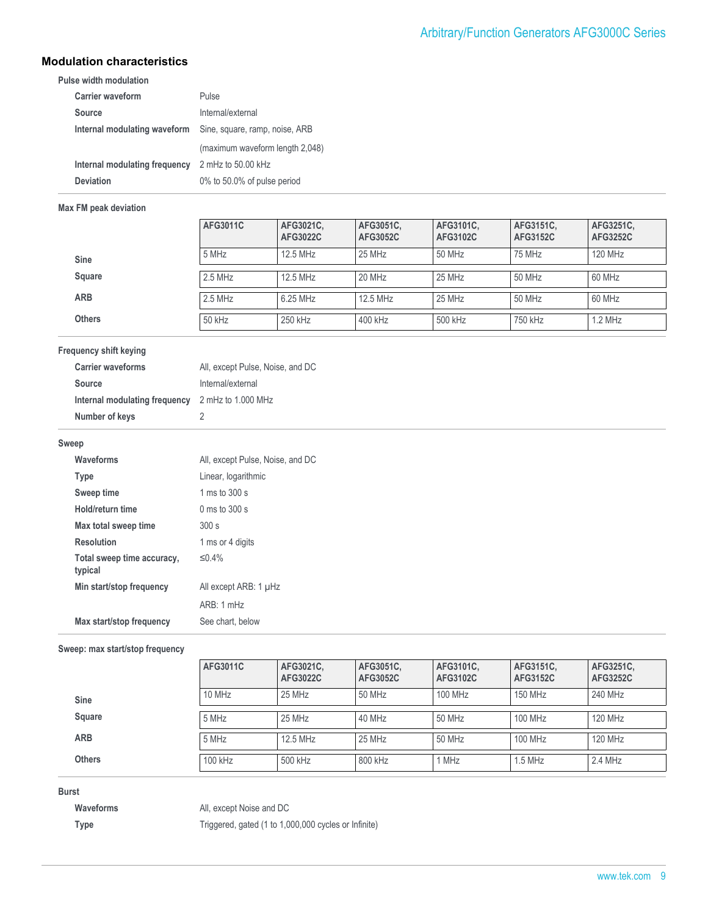#### **Modulation characteristics**

**Pulse width modulation**

| <b>Carrier waveform</b>       | Pulse                           |
|-------------------------------|---------------------------------|
| Source                        | Internal/external               |
| Internal modulating waveform  | Sine, square, ramp, noise, ARB  |
|                               | (maximum waveform length 2,048) |
| Internal modulating frequency | 2 mHz to 50.00 kHz              |
| Deviation                     | 0% to 50.0% of pulse period     |

#### **Max FM peak deviation**

|               | AFG3011C  | AFG3021C,<br>AFG3022C | AFG3051C,<br>AFG3052C | AFG3101C.<br>AFG3102C | AFG3151C.<br>AFG3152C | AFG3251C,<br>AFG3252C |
|---------------|-----------|-----------------------|-----------------------|-----------------------|-----------------------|-----------------------|
| <b>Sine</b>   | 5 MHz     | 12.5 MHz              | 25 MHz                | 50 MHz                | 75 MHz                | 120 MHz               |
| Square        | $2.5$ MHz | 12.5 MHz              | 20 MHz                | 25 MHz                | 50 MHz                | 60 MHz                |
| <b>ARB</b>    | $2.5$ MHz | 6.25 MHz              | 12.5 MHz              | 25 MHz                | 50 MHz                | 60 MHz                |
| <b>Others</b> | 50 kHz    | 250 kHz               | 400 kHz               | 500 kHz               | 750 kHz               | $1.2$ MHz             |

#### **Frequency shift keying**

| <b>Carrier waveforms</b>      | All, except Pulse, Noise, and DC |
|-------------------------------|----------------------------------|
| <b>Source</b>                 | Internal/external                |
| Internal modulating frequency | 2 mHz to 1.000 MHz               |
| Number of keys                | 2                                |

#### **Sweep**

| All, except Pulse, Noise, and DC |
|----------------------------------|
| Linear, logarithmic              |
| 1 ms to $300 \text{ s}$          |
| $0 \text{ ms}$ to 300 s          |
| 300 s                            |
| 1 ms or 4 digits                 |
| $\leq$ 0.4%                      |
| All except ARB: 1 µHz            |
| ARB:1mHz                         |
| See chart, below                 |
|                                  |

#### **Sweep: max start/stop frequency**

|               | AFG3011C  | AFG3021C,<br>AFG3022C | AFG3051C.<br>AFG3052C | AFG3101C.<br>AFG3102C | AFG3151C.<br>AFG3152C | AFG3251C,<br><b>AFG3252C</b> |
|---------------|-----------|-----------------------|-----------------------|-----------------------|-----------------------|------------------------------|
| Sine          | $10$ MHz  | 25 MHz                | 50 MHz                | 100 MHz               | 150 MHz               | 240 MHz                      |
| Square        | 5 MHz     | 25 MHz                | 40 MHz                | 50 MHz                | 100 MHz               | 120 MHz                      |
| <b>ARB</b>    | 5 MHz     | 12.5 MHz              | 25 MHz                | 50 MHz                | 100 MHz               | 120 MHz                      |
| <b>Others</b> | $100$ kHz | 500 kHz               | 800 kHz               | MHz                   | $1.5$ MHz             | 2.4 MHz                      |

#### **Burst**

**Waveforms** All, except Noise and DC **Type** Triggered, gated (1 to 1,000,000 cycles or Infinite)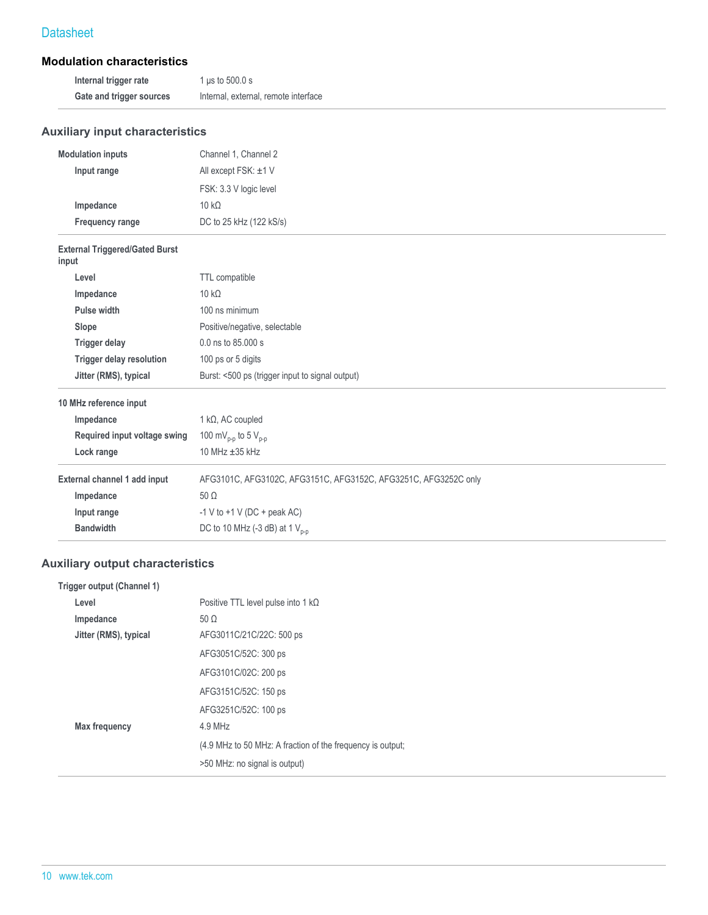#### **Modulation characteristics**

| Internal trigger rate    | 1 us to 500.0 s                      |
|--------------------------|--------------------------------------|
| Gate and trigger sources | Internal, external, remote interface |

## **Auxiliary input characteristics**

| <b>Modulation inputs</b>                       | Channel 1, Channel 2                                            |
|------------------------------------------------|-----------------------------------------------------------------|
| Input range                                    | All except FSK: ±1 V                                            |
|                                                | FSK: 3.3 V logic level                                          |
| Impedance                                      | $10 k\Omega$                                                    |
| <b>Frequency range</b>                         | DC to 25 kHz (122 kS/s)                                         |
| <b>External Triggered/Gated Burst</b><br>input |                                                                 |
| Level                                          | TTL compatible                                                  |
| Impedance                                      | $10 k\Omega$                                                    |
| Pulse width                                    | 100 ns minimum                                                  |
| Slope                                          | Positive/negative, selectable                                   |
| <b>Trigger delay</b>                           | 0.0 ns to 85,000 s                                              |
| <b>Trigger delay resolution</b>                | 100 ps or 5 digits                                              |
| Jitter (RMS), typical                          | Burst: <500 ps (trigger input to signal output)                 |
| 10 MHz reference input                         |                                                                 |
| Impedance                                      | $1 k\Omega$ , AC coupled                                        |
| Required input voltage swing                   | 100 mV <sub>p-p</sub> to 5 V <sub>p-p</sub>                     |
| Lock range                                     | 10 MHz ±35 kHz                                                  |
| External channel 1 add input                   | AFG3101C, AFG3102C, AFG3151C, AFG3152C, AFG3251C, AFG3252C only |
| Impedance                                      | $50 \Omega$                                                     |
| Input range                                    | -1 V to $+1$ V (DC + peak AC)                                   |
| <b>Bandwidth</b>                               | DC to 10 MHz (-3 dB) at 1 $V_{p-p}$                             |
|                                                |                                                                 |

## **Auxiliary output characteristics**

| Trigger output (Channel 1) |                                                            |
|----------------------------|------------------------------------------------------------|
| Level                      | Positive TTL level pulse into 1 $k\Omega$                  |
| Impedance                  | $50 \Omega$                                                |
| Jitter (RMS), typical      | AFG3011C/21C/22C: 500 ps                                   |
|                            | AFG3051C/52C: 300 ps                                       |
|                            | AFG3101C/02C: 200 ps                                       |
|                            | AFG3151C/52C: 150 ps                                       |
|                            | AFG3251C/52C: 100 ps                                       |
| <b>Max frequency</b>       | $4.9$ MHz                                                  |
|                            | (4.9 MHz to 50 MHz: A fraction of the frequency is output; |
|                            | >50 MHz: no signal is output)                              |
|                            |                                                            |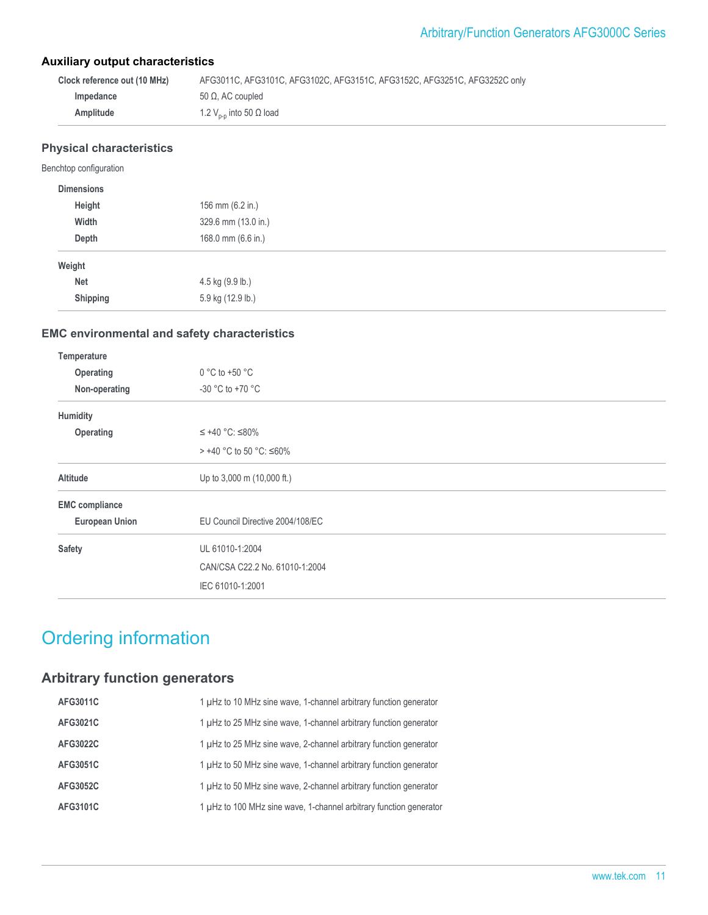#### **Auxiliary output characteristics**

| Clock reference out (10 MHz) | AFG3011C, AFG3101C, AFG3102C, AFG3151C, AFG3152C, AFG3251C, AFG3252C only |
|------------------------------|---------------------------------------------------------------------------|
| Impedance                    | 50 Ω. AC coupled                                                          |
| Amplitude                    | 1.2 $V_{p-p}$ into 50 Ω load                                              |

#### **Physical characteristics**

#### Benchtop configuration

| <b>Dimensions</b> |                     |
|-------------------|---------------------|
| Height            | 156 mm (6.2 in.)    |
| Width             | 329.6 mm (13.0 in.) |
| Depth             | 168.0 mm (6.6 in.)  |
| Weight            |                     |
| <b>Net</b>        | 4.5 kg (9.9 lb.)    |
| Shipping          | 5.9 kg (12.9 lb.)   |

#### **EMC environmental and safety characteristics**

| Temperature           |                                  |  |
|-----------------------|----------------------------------|--|
| Operating             | $0 °C$ to +50 $°C$               |  |
| Non-operating         | $-30$ °C to $+70$ °C             |  |
| Humidity              |                                  |  |
| Operating             | $≤ +40 °C$ : ≤80%                |  |
|                       | > +40 °C to 50 °C: ≤60%          |  |
| Altitude              | Up to 3,000 m (10,000 ft.)       |  |
| <b>EMC</b> compliance |                                  |  |
| <b>European Union</b> | EU Council Directive 2004/108/EC |  |
| <b>Safety</b>         | UL 61010-1:2004                  |  |
|                       | CAN/CSA C22.2 No. 61010-1:2004   |  |
|                       | IEC 61010-1:2001                 |  |
|                       |                                  |  |

## Ordering information

## **Arbitrary function generators**

| AFG3011C        | 1 µHz to 10 MHz sine wave, 1-channel arbitrary function generator  |
|-----------------|--------------------------------------------------------------------|
| AFG3021C        | 1 µHz to 25 MHz sine wave, 1-channel arbitrary function generator  |
| AFG3022C        | 1 µHz to 25 MHz sine wave, 2-channel arbitrary function generator  |
| AFG3051C        | 1 µHz to 50 MHz sine wave, 1-channel arbitrary function generator  |
| <b>AFG3052C</b> | 1 µHz to 50 MHz sine wave, 2-channel arbitrary function generator  |
| AFG3101C        | 1 µHz to 100 MHz sine wave, 1-channel arbitrary function generator |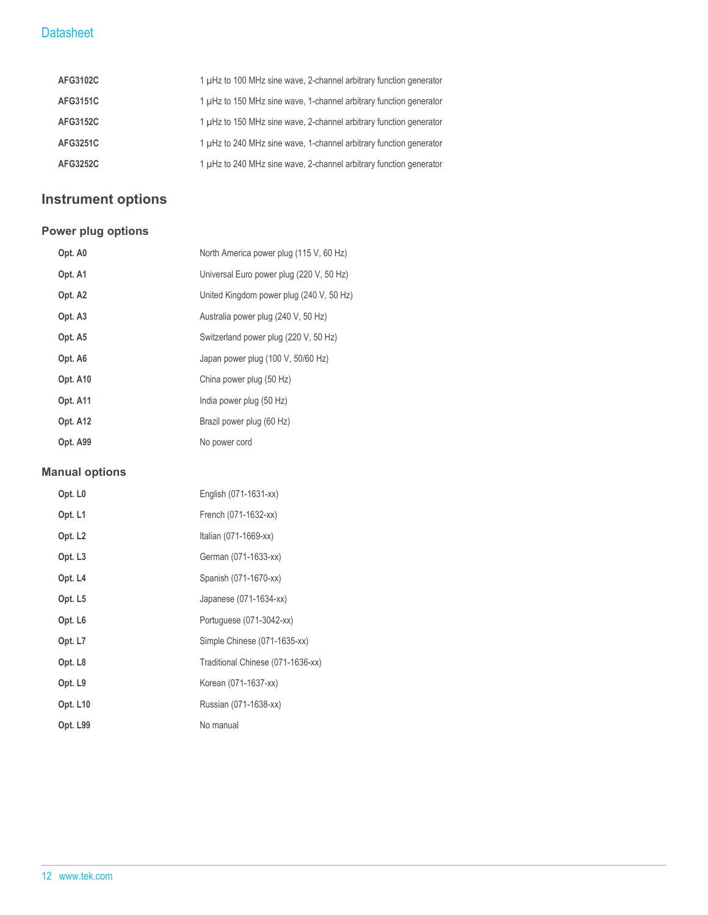| AFG3102C        | 1 µHz to 100 MHz sine wave, 2-channel arbitrary function generator |
|-----------------|--------------------------------------------------------------------|
| AFG3151C        | 1 µHz to 150 MHz sine wave, 1-channel arbitrary function generator |
| <b>AFG3152C</b> | 1 µHz to 150 MHz sine wave, 2-channel arbitrary function generator |
| AFG3251C        | 1 µHz to 240 MHz sine wave, 1-channel arbitrary function generator |
| <b>AFG3252C</b> | 1 µHz to 240 MHz sine wave, 2-channel arbitrary function generator |

## **Instrument options**

## **Power plug options**

| Opt. A0             | North America power plug (115 V, 60 Hz)  |
|---------------------|------------------------------------------|
| Opt. A1             | Universal Euro power plug (220 V, 50 Hz) |
| Opt. A <sub>2</sub> | United Kingdom power plug (240 V, 50 Hz) |
| Opt. A <sub>3</sub> | Australia power plug (240 V, 50 Hz)      |
| Opt. A5             | Switzerland power plug (220 V, 50 Hz)    |
| Opt. A6             | Japan power plug (100 V, 50/60 Hz)       |
| Opt. A10            | China power plug (50 Hz)                 |
| Opt. A11            | India power plug (50 Hz)                 |
| Opt. A12            | Brazil power plug (60 Hz)                |
| Opt. A99            | No power cord                            |

## **Manual options**

| Opt. L <sub>0</sub> | English (071-1631-xx)             |
|---------------------|-----------------------------------|
| Opt. L1             | French (071-1632-xx)              |
| Opt. L <sub>2</sub> | Italian (071-1669-xx)             |
| Opt. L <sub>3</sub> | German (071-1633-xx)              |
| Opt. L4             | Spanish (071-1670-xx)             |
| Opt. L5             | Japanese (071-1634-xx)            |
| Opt. L <sub>6</sub> | Portuguese (071-3042-xx)          |
| Opt. L7             | Simple Chinese (071-1635-xx)      |
| Opt. L8             | Traditional Chinese (071-1636-xx) |
| Opt. L9             | Korean (071-1637-xx)              |
| <b>Opt. L10</b>     | Russian (071-1638-xx)             |
| Opt. L99            | No manual                         |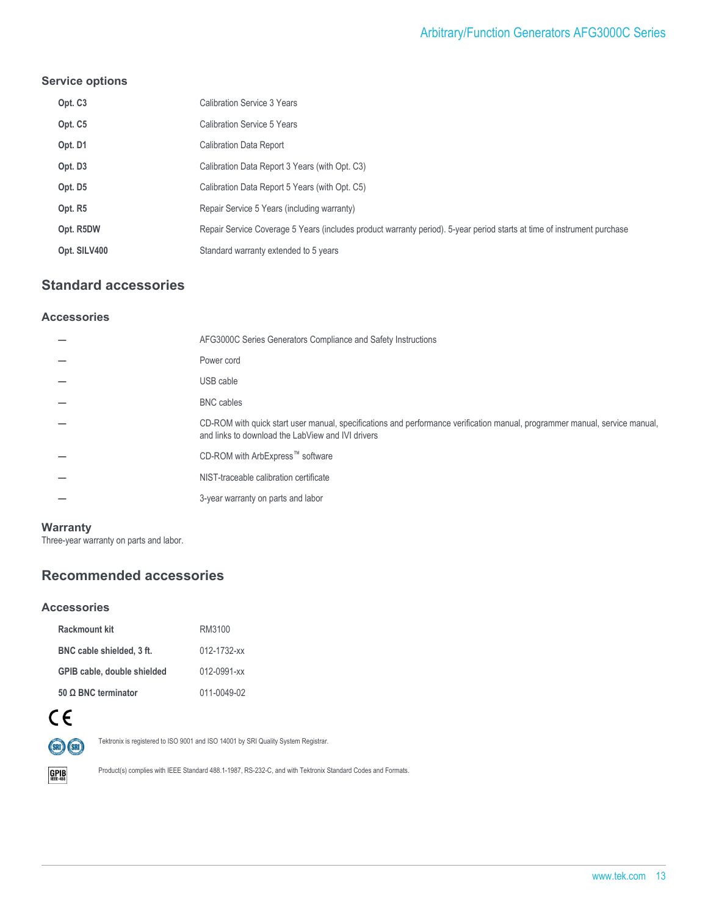#### **Service options**

| Opt. C <sub>3</sub> | <b>Calibration Service 3 Years</b>                                                                                      |
|---------------------|-------------------------------------------------------------------------------------------------------------------------|
| Opt. C5             | Calibration Service 5 Years                                                                                             |
| Opt. D1             | <b>Calibration Data Report</b>                                                                                          |
| Opt. D3             | Calibration Data Report 3 Years (with Opt. C3)                                                                          |
| Opt. D5             | Calibration Data Report 5 Years (with Opt. C5)                                                                          |
| Opt. R5             | Repair Service 5 Years (including warranty)                                                                             |
| Opt. R5DW           | Repair Service Coverage 5 Years (includes product warranty period). 5-year period starts at time of instrument purchase |
| Opt. SILV400        | Standard warranty extended to 5 years                                                                                   |

## **Standard accessories**

#### **Accessories**

| AFG3000C Series Generators Compliance and Safety Instructions                                                                                                                    |
|----------------------------------------------------------------------------------------------------------------------------------------------------------------------------------|
| Power cord                                                                                                                                                                       |
| USB cable                                                                                                                                                                        |
| <b>BNC</b> cables                                                                                                                                                                |
| CD-ROM with quick start user manual, specifications and performance verification manual, programmer manual, service manual,<br>and links to download the LabView and IVI drivers |
| CD-ROM with ArbExpress™ software                                                                                                                                                 |
| NIST-traceable calibration certificate                                                                                                                                           |
| 3-year warranty on parts and labor                                                                                                                                               |
|                                                                                                                                                                                  |

#### **Warranty**

Three-year warranty on parts and labor.

## **Recommended accessories**

#### **Accessories**

| Rackmount kit               | RM3100            |
|-----------------------------|-------------------|
| BNC cable shielded, 3 ft.   | 012-1732-xx       |
| GPIB cable, double shielded | $012 - 0991 - xx$ |
| $50$ Ω BNC terminator       | 011-0049-02       |



Tektronix is registered to ISO 9001 and ISO 14001 by SRI Quality System Registrar.



Product(s) complies with IEEE Standard 488.1-1987, RS-232-C, and with Tektronix Standard Codes and Formats.